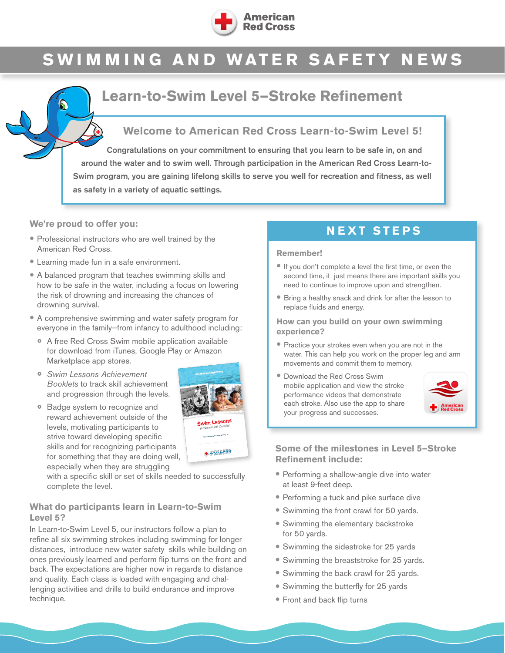

# **SWIMMING AND WATER SAFETY NEWS**

## **Learn-to-Swim Level 5—Stroke Refinement**

## **Welcome to American Red Cross Learn-to-Swim Level 5!**

Congratulations on your commitment to ensuring that you learn to be safe in, on and around the water and to swim well. Through participation in the American Red Cross Learn-to-Swim program, you are gaining lifelong skills to serve you well for recreation and fitness, as well as safety in a variety of aquatic settings.

#### **We're proud to offer you:**

- Professional instructors who are well trained by the American Red Cross.
- Learning made fun in a safe environment.
- A balanced program that teaches swimming skills and how to be safe in the water, including a focus on lowering the risk of drowning and increasing the chances of drowning survival.
- A comprehensive swimming and water safety program for everyone in the family—from infancy to adulthood including:
	- A free Red Cross Swim mobile application available for download from iTunes, Google Play or Amazon Marketplace app stores.
	- *Swim Lessons Achievement Booklets* to track skill achievement and progression through the levels.
	- Badge system to recognize and reward achievement outside of the levels, motivating participants to strive toward developing specific skills and for recognizing participants for something that they are doing well, especially when they are struggling



with a specific skill or set of skills needed to successfully complete the level.

#### **What do participants learn in Learn-to-Swim Level 5?**

In Learn-to-Swim Level 5, our instructors follow a plan to refine all six swimming strokes including swimming for longer distances, introduce new water safety skills while building on ones previously learned and perform flip turns on the front and back. The expectations are higher now in regards to distance and quality. Each class is loaded with engaging and challenging activities and drills to build endurance and improve technique.

## **NEXT STEPS**

#### **Remember!**

- If you don't complete a level the first time, or even the second time, it just means there are important skills you need to continue to improve upon and strengthen.
- Bring a healthy snack and drink for after the lesson to replace fluids and energy.

#### **How can you build on your own swimming experience?**

- Practice your strokes even when you are not in the water. This can help you work on the proper leg and arm movements and commit them to memory.
- Download the Red Cross Swim mobile application and view the stroke performance videos that demonstrate each stroke. Also use the app to share your progress and successes.



#### **Some of the milestones in Level 5—Stroke Refinement include:**

- Performing a shallow-angle dive into water at least 9-feet deep.
- Performing a tuck and pike surface dive
- Swimming the front crawl for 50 yards.
- Swimming the elementary backstroke for 50 yards.
- Swimming the sidestroke for 25 yards
- Swimming the breaststroke for 25 yards.
- Swimming the back crawl for 25 yards.
- Swimming the butterfly for 25 yards
- Front and back flip turns